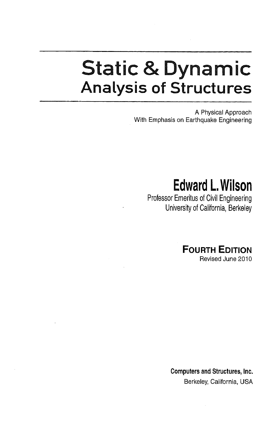## Static & Dynamic Analysis of Structures

A Physical Approach With Emphasis on Earthquake Engineering

## Edward L.Wilson

Professor Emeritus of Civil Engineering University of California, Berkeley

> **FOURTH EDITION** Revised June 2010

Computers and Structures, Inc. Berkeley, California, USA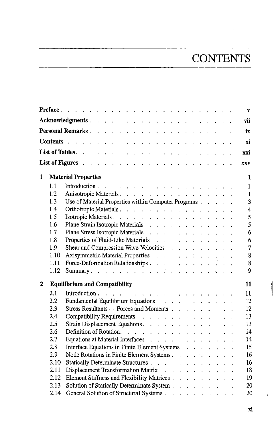## **CONTENTS**

|   |      |                                                                                                                                | $\mathbf{v}$   |  |  |  |  |  |  |  |  |  |
|---|------|--------------------------------------------------------------------------------------------------------------------------------|----------------|--|--|--|--|--|--|--|--|--|
|   |      |                                                                                                                                | vii            |  |  |  |  |  |  |  |  |  |
|   |      |                                                                                                                                | ix             |  |  |  |  |  |  |  |  |  |
|   |      |                                                                                                                                | хi             |  |  |  |  |  |  |  |  |  |
|   |      |                                                                                                                                | xxi            |  |  |  |  |  |  |  |  |  |
|   |      |                                                                                                                                |                |  |  |  |  |  |  |  |  |  |
|   |      |                                                                                                                                | <b>XXV</b>     |  |  |  |  |  |  |  |  |  |
| 1 |      | <b>Material Properties</b>                                                                                                     | 1              |  |  |  |  |  |  |  |  |  |
|   | 1.1  |                                                                                                                                | $\mathbf{1}$   |  |  |  |  |  |  |  |  |  |
|   | 1.2  | Anisotropic Materials.                                                                                                         | $\mathbf{1}$   |  |  |  |  |  |  |  |  |  |
|   | 1.3  | Use of Material Properties within Computer Programs                                                                            | $\overline{3}$ |  |  |  |  |  |  |  |  |  |
|   | 1.4  | Orthotropic Materials.                                                                                                         | $\overline{4}$ |  |  |  |  |  |  |  |  |  |
|   | 1.5  | Isotropic Materials.                                                                                                           | 5              |  |  |  |  |  |  |  |  |  |
|   | 1.6  | Plane Strain Isotropic Materials                                                                                               | $\overline{5}$ |  |  |  |  |  |  |  |  |  |
|   | 1.7  | Plane Stress Isotropic Materials                                                                                               | 6              |  |  |  |  |  |  |  |  |  |
|   | 1.8  | Properties of Fluid-Like Materials                                                                                             | 6              |  |  |  |  |  |  |  |  |  |
|   | 1.9  | Shear and Compression Wave Velocities                                                                                          | $\overline{7}$ |  |  |  |  |  |  |  |  |  |
|   | 1.10 |                                                                                                                                | 8              |  |  |  |  |  |  |  |  |  |
|   | 1.11 | Axisymmetric Material Properties<br>Force-Deformation Relationships<br>$\cdot \cdot \cdot \cdot \cdot \cdot \cdot \cdot \cdot$ | 8              |  |  |  |  |  |  |  |  |  |
|   | 1.12 |                                                                                                                                | 9              |  |  |  |  |  |  |  |  |  |
| 2 |      | <b>Equilibrium and Compatibility</b>                                                                                           | 11             |  |  |  |  |  |  |  |  |  |
|   | 2.1  | the contract of the contract of the contract of the contract of<br>Introduction.                                               | 11             |  |  |  |  |  |  |  |  |  |
|   | 2.2. | Fundamental Equilibrium Equations                                                                                              | 12             |  |  |  |  |  |  |  |  |  |
|   | 2.3  | Stress Resultants - Forces and Moments                                                                                         | 12             |  |  |  |  |  |  |  |  |  |
|   | 2.4  | Compatibility Requirements                                                                                                     | 13             |  |  |  |  |  |  |  |  |  |
|   | 2.5  |                                                                                                                                | 13             |  |  |  |  |  |  |  |  |  |
|   | 2.6  | Definition of Rotation.                                                                                                        | 14             |  |  |  |  |  |  |  |  |  |
|   | 2.7  | Equations at Material Interfaces                                                                                               | 14             |  |  |  |  |  |  |  |  |  |
|   | 2.8  | Interface Equations in Finite Element Systems                                                                                  | 15             |  |  |  |  |  |  |  |  |  |
|   | 2.9  | Node Rotations in Finite Element Systems                                                                                       | 16             |  |  |  |  |  |  |  |  |  |
|   | 2.10 | Statically Determinate Structures                                                                                              | 16             |  |  |  |  |  |  |  |  |  |
|   | 2.11 | Displacement Transformation Matrix                                                                                             | 18             |  |  |  |  |  |  |  |  |  |
|   | 2.12 | Element Stiffness and Flexibility Matrices                                                                                     | 19             |  |  |  |  |  |  |  |  |  |
|   | 2.13 | Solution of Statically Determinate System                                                                                      | 20             |  |  |  |  |  |  |  |  |  |
|   | 2.14 | General Solution of Structural Systems                                                                                         | 20             |  |  |  |  |  |  |  |  |  |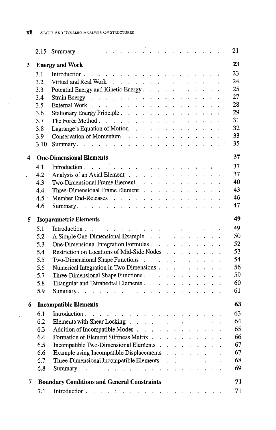|                      |      |                                                                                                                                                                                                                                                 |  |                           |              |                                                                 | 21 |
|----------------------|------|-------------------------------------------------------------------------------------------------------------------------------------------------------------------------------------------------------------------------------------------------|--|---------------------------|--------------|-----------------------------------------------------------------|----|
| 3                    |      | <b>Energy and Work</b>                                                                                                                                                                                                                          |  |                           |              |                                                                 | 23 |
|                      | 3.1  |                                                                                                                                                                                                                                                 |  |                           |              |                                                                 | 23 |
|                      | 3.2  | Virtual and Real Work                                                                                                                                                                                                                           |  |                           |              |                                                                 | 24 |
|                      | 3.3  | Potential Energy and Kinetic Energy.                                                                                                                                                                                                            |  |                           |              |                                                                 | 25 |
|                      | 3.4  |                                                                                                                                                                                                                                                 |  |                           |              |                                                                 | 27 |
|                      | 3.5  |                                                                                                                                                                                                                                                 |  |                           |              |                                                                 | 28 |
|                      | 3.6  | Stationary Energy Principle.                                                                                                                                                                                                                    |  |                           |              |                                                                 | 29 |
|                      | 3.7  | The Force Method.                                                                                                                                                                                                                               |  |                           |              |                                                                 | 31 |
|                      | 3.8  | Lagrange's Equation of Motion                                                                                                                                                                                                                   |  |                           |              |                                                                 | 32 |
|                      | 3.9  | Conservation of Momentum (a) and a conservation of Momentum (b) and a conservation of $\mathbb{R}$                                                                                                                                              |  |                           |              |                                                                 | 33 |
|                      | 3.10 |                                                                                                                                                                                                                                                 |  |                           |              |                                                                 | 35 |
|                      |      |                                                                                                                                                                                                                                                 |  |                           |              |                                                                 |    |
| 4                    |      | <b>One-Dimensional Elements</b>                                                                                                                                                                                                                 |  |                           |              |                                                                 | 37 |
|                      | 4.1  |                                                                                                                                                                                                                                                 |  |                           |              |                                                                 | 37 |
| $\ddot{\phantom{0}}$ | 4.2  | Analysis of an Axial Element                                                                                                                                                                                                                    |  |                           |              |                                                                 | 37 |
|                      | 4.3  | Two-Dimensional Frame Element.                                                                                                                                                                                                                  |  |                           |              |                                                                 | 40 |
|                      | 4.4  | Three-Dimensional Frame Element                                                                                                                                                                                                                 |  |                           |              |                                                                 | 43 |
|                      | 4.5  | Member End-Releases                                                                                                                                                                                                                             |  |                           |              |                                                                 | 46 |
|                      | 4.6  |                                                                                                                                                                                                                                                 |  |                           |              |                                                                 | 47 |
| 5                    |      | <b>Isoparametric Elements</b>                                                                                                                                                                                                                   |  |                           |              |                                                                 | 49 |
|                      | 5.1  |                                                                                                                                                                                                                                                 |  |                           |              |                                                                 | 49 |
|                      | 5.2  | A Simple One-Dimensional Example                                                                                                                                                                                                                |  |                           |              |                                                                 | 50 |
|                      | 5.3  | One-Dimensional Integration Formulas                                                                                                                                                                                                            |  |                           |              |                                                                 | 52 |
|                      | 5.4  | Restriction on Locations of Mid-Side Nodes                                                                                                                                                                                                      |  |                           |              |                                                                 | 53 |
|                      | 5.5  | Two-Dimensional Shape Functions                                                                                                                                                                                                                 |  |                           |              |                                                                 | 54 |
|                      | 5.6  | Numerical Integration in Two Dimensions                                                                                                                                                                                                         |  |                           |              |                                                                 | 56 |
|                      | 5.7  | Three-Dimensional Shape Functions                                                                                                                                                                                                               |  |                           |              |                                                                 | 59 |
|                      | 5.8  | Triangular and Tetrahedral Elements                                                                                                                                                                                                             |  |                           |              |                                                                 | 60 |
|                      | 5.9  |                                                                                                                                                                                                                                                 |  |                           |              |                                                                 | 61 |
|                      |      |                                                                                                                                                                                                                                                 |  |                           |              |                                                                 |    |
| 6                    |      | <b>Incompatible Elements</b>                                                                                                                                                                                                                    |  |                           |              |                                                                 | 63 |
|                      | 6.1  | and the company of the company of the company of the company of the company of the company of the company of the company of the company of the company of the company of the company of the company of the company of the comp<br>Introduction. |  |                           |              |                                                                 | 63 |
|                      | 6.2  | Elements with Shear Locking                                                                                                                                                                                                                     |  |                           |              |                                                                 | 64 |
|                      | 6.3  | Addition of Incompatible Modes                                                                                                                                                                                                                  |  |                           |              |                                                                 | 65 |
|                      | 6.4  | Formation of Element Stiffness Matrix                                                                                                                                                                                                           |  |                           |              |                                                                 | 66 |
|                      | 6.5  | Incompatible Two-Dimensional Elements                                                                                                                                                                                                           |  | $\mathbf{r} = \mathbf{r}$ |              |                                                                 | 67 |
|                      | 6.6  | Example using Incompatible Displacements                                                                                                                                                                                                        |  |                           |              | $\mathbf{r}$ and $\mathbf{r}$ and $\mathbf{r}$ and $\mathbf{r}$ | 67 |
|                      | 6.7  | Three-Dimensional Incompatible Elements                                                                                                                                                                                                         |  |                           | $\mathbf{A}$ |                                                                 | 68 |
|                      | 6.8  | Summary.<br>$\sim 10^7$                                                                                                                                                                                                                         |  |                           |              |                                                                 | 69 |
| 7                    |      | <b>Boundary Conditions and General Constraints</b>                                                                                                                                                                                              |  |                           |              |                                                                 | 71 |
|                      | 7.1  | Introduction                                                                                                                                                                                                                                    |  |                           |              |                                                                 | 71 |
|                      |      |                                                                                                                                                                                                                                                 |  |                           |              |                                                                 |    |

 $\sim$ 

 $\bar{z}$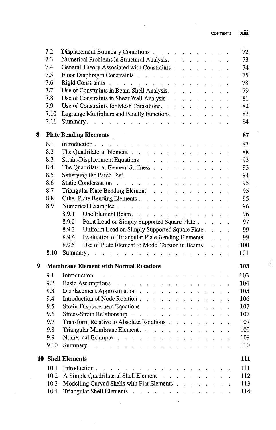|    | 7.2  | Displacement Boundary Conditions                                                            | 72  |
|----|------|---------------------------------------------------------------------------------------------|-----|
|    | 7.3  | Numerical Problems in Structural Analysis.                                                  | 73  |
|    | 7.4  | General Theory Associated with Constraints                                                  | 74  |
|    | 7.5  | Floor Diaphragm Constraints                                                                 | 75  |
|    | 7.6  | Rigid Constraints                                                                           | 78  |
|    | 7.7  | Use of Constraints in Beam-Shell Analysis.                                                  | 79  |
|    | 7.8  | Use of Constraints in Shear Wall Analysis                                                   | 81  |
|    | 7.9  | Use of Constraints for Mesh Transitions.                                                    | 82  |
|    | 7.10 | Lagrange Multipliers and Penalty Functions                                                  | 83  |
|    | 7.11 |                                                                                             | 84  |
| 8  |      | <b>Plate Bending Elements</b>                                                               | 87  |
|    | 8.1  |                                                                                             | 87  |
|    | 8.2  | The Quadrilateral Element                                                                   | 88  |
|    | 8.3  | Strain-Displacement Equations                                                               | 93  |
|    | 8.4  | The Quadrilateral Element Stiffness                                                         | 93  |
|    | 8.5  | Satisfying the Patch Test.                                                                  | 94  |
|    | 8.6  | Static Condensation                                                                         | 95  |
|    | 8.7  | Triangular Plate Bending Element                                                            | 95  |
|    | 8.8  | Other Plate Bending Elements                                                                | 95  |
|    | 8.9  | Numerical Examples                                                                          | 96  |
|    |      | 8.9.1<br>One Element Beam.                                                                  | 96  |
|    |      | 8.9.2<br>Point Load on Simply Supported Square Plate                                        | 97  |
|    |      | 8.9.3<br>Uniform Load on Simply Supported Square Plate                                      | 99  |
|    |      | Evaluation of Triangular Plate Bending Elements<br>8.9.4                                    | 99  |
|    |      | Use of Plate Element to Model Torsion in Beams<br>8.9.5                                     | 100 |
|    | 8.10 | Summary.<br>the contract of the contract of the contract of the contract of the contract of | 101 |
| 9  |      | <b>Membrane Element with Normal Rotations</b>                                               | 103 |
|    | 9.1  |                                                                                             | 103 |
|    | 9.2  | Basic Assumptions                                                                           | 104 |
|    | 9.3  | Displacement Approximation                                                                  | 105 |
|    | 9.4  | Introduction of Node Rotation                                                               | 106 |
|    | 9.5  | Strain-Displacement Equations                                                               | 107 |
|    | 9.6  | Stress-Strain Relationship                                                                  | 107 |
|    | 9.7  | Transform Relative to Absolute Rotations                                                    | 107 |
|    | 9.8  | Triangular Membrane Element.<br>$\mathbf{r}$                                                | 109 |
|    | 9.9  | Numerical Example<br>$\cdot$                                                                | 109 |
|    | 9.10 | Summary. $\ldots$<br>$\mathbf{r}$                                                           | 110 |
| 10 |      | <b>Shell Elements</b>                                                                       | 111 |
|    | 10.1 | Introduction.<br>and the company of the company of the company of the                       | 111 |
|    | 10.2 | A Simple Quadrilateral Shell Element                                                        | 112 |
|    | 10.3 | Modelling Curved Shells with Flat Elements                                                  | 113 |
|    | 10.4 | Triangular Shell Elements                                                                   | 114 |
|    |      |                                                                                             |     |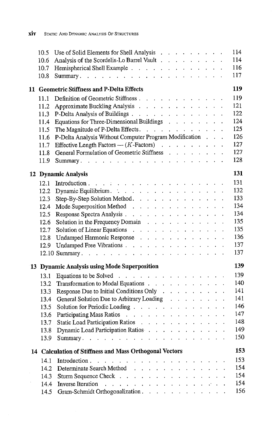| 10.5 | Use of Solid Elements for Shell Analysis<br>114                                               |
|------|-----------------------------------------------------------------------------------------------|
| 10.6 | 114<br>Analysis of the Scordelis-Lo Barrel Vault                                              |
| 10.7 | 116<br>Hemispherical Shell Example                                                            |
| 10.8 | 117                                                                                           |
|      |                                                                                               |
|      | 119<br>11 Geometric Stiffness and P-Delta Effects                                             |
| 11.1 | Definition of Geometric Stiffness<br>119                                                      |
| 11.2 | 121<br>Approximate Buckling Analysis                                                          |
| 11.3 | 122<br>P-Delta Analysis of Buildings                                                          |
| 11.4 | 124<br>Equations for Three-Dimensional Buildings                                              |
| 11.5 | 125<br>The Magnitude of P-Delta Effects.                                                      |
| 11.6 | P-Delta Analysis Without Computer Program Modification<br>126                                 |
| 11.7 | 127<br>Effective Length Factors $-(K$ -Factors)                                               |
| 11.8 | 127<br>General Formulation of Geometric Stiffness                                             |
| 11.9 | 128                                                                                           |
|      | 131<br>12 Dynamic Analysis                                                                    |
|      | 131                                                                                           |
| 12.1 | 132                                                                                           |
| 12.2 | Dynamic Equilibrium.<br>133                                                                   |
| 12.3 | Step-By-Step Solution Method.<br>134                                                          |
| 12.4 | Mode Superposition Method<br>134                                                              |
| 12.5 | Response Spectra Analysis<br>135                                                              |
| 12.6 | Solution in the Frequency Domain<br>135                                                       |
| 12.7 | 136                                                                                           |
| 12.8 | Undamped Harmonic Response<br>137                                                             |
| 12.9 | Undamped Free Vibrations<br>137                                                               |
|      |                                                                                               |
|      | 139<br>13 Dynamic Analysis using Mode Superposition                                           |
| 13.1 | Equations to be Solved<br>139                                                                 |
| 13.2 | 140<br>Transformation to Modal Equations                                                      |
| 13.3 | 141<br>Response Due to Initial Conditions Only                                                |
| 13.4 | 141<br>General Solution Due to Arbitrary Loading                                              |
| 13.5 | 146<br>Solution for Periodic Loading                                                          |
| 13.6 | 147<br>Participating Mass Ratios                                                              |
| 13.7 | 148<br>Static Load Participation Ratios                                                       |
| 13.8 | 149<br>Dynamic Load Participation Ratios                                                      |
| 13.9 | 150                                                                                           |
|      |                                                                                               |
|      | 153<br>14 Calculation of Stiffness and Mass Orthogonal Vectors                                |
| 14.1 | 153<br>Introduction $\cdots$ $\cdots$ $\cdots$ $\cdots$ $\cdots$ $\cdots$ $\cdots$ $\cdots$   |
| 14.2 | 154<br>Determinate Search Method                                                              |
| 14.3 | 154<br>Sturm Sequence Check                                                                   |
| 14.4 | 154<br><b>Inverse Iteration</b><br>والمحافظ والمتعاون والمتعاون والمتعاون والمتعاون والمتعاون |
| 14.5 | 156<br>Gram-Schmidt Orthogonalization.                                                        |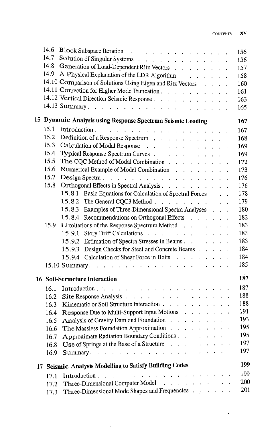$\ddot{\phantom{0}}$ 

| 14.6 | Block Subspace Iteration and a subset of the set of the set of the set of the set of the set of the set of the set of the set of the set of the set of the set of the set of the set of the set of the set of the set of the s                  | 156 |
|------|-------------------------------------------------------------------------------------------------------------------------------------------------------------------------------------------------------------------------------------------------|-----|
| 14.7 | Solution of Singular Systems                                                                                                                                                                                                                    | 156 |
| 14.8 | Generation of Load-Dependent Ritz Vectors                                                                                                                                                                                                       | 157 |
|      | 14.9 A Physical Explanation of the LDR Algorithm                                                                                                                                                                                                | 158 |
|      | 14.10 Comparison of Solutions Using Eigen and Ritz Vectors                                                                                                                                                                                      | 160 |
|      | 14.11 Correction for Higher Mode Truncation                                                                                                                                                                                                     | 161 |
|      | 14.12 Vertical Direction Seismic Response                                                                                                                                                                                                       | 163 |
|      |                                                                                                                                                                                                                                                 | 165 |
|      | 15 Dynamic Analysis using Response Spectrum Seismic Loading                                                                                                                                                                                     | 167 |
| 15.1 |                                                                                                                                                                                                                                                 | 167 |
| 15.2 | Definition of a Response Spectrum                                                                                                                                                                                                               | 168 |
| 15.3 | Calculation of Modal Response                                                                                                                                                                                                                   | 169 |
| 15.4 | Typical Response Spectrum Curves                                                                                                                                                                                                                | 169 |
| 15.5 | The CQC Method of Modal Combination                                                                                                                                                                                                             | 172 |
| 15.6 | Numerical Example of Modal Combination response in the contract of Modal Combination                                                                                                                                                            | 173 |
| 15.7 | Design Spectra $\ldots$ $\ldots$ $\ldots$ $\ldots$ $\ldots$ $\ldots$ $\ldots$ $\ldots$                                                                                                                                                          | 176 |
| 15.8 | Orthogonal Effects in Spectral Analysis                                                                                                                                                                                                         | 176 |
|      | 15.8.1 Basic Equations for Calculation of Spectral Forces                                                                                                                                                                                       | 178 |
|      | 15.8.2 The General CQC3 Method                                                                                                                                                                                                                  | 179 |
|      | 15.8.3 Examples of Three-Dimensional Spectra Analyses<br>$\ddot{\phantom{0}}$                                                                                                                                                                   | 180 |
|      | 15.8.4 Recommendations on Orthogonal Effects                                                                                                                                                                                                    | 182 |
| 15.9 | Limitations of the Response Spectrum Method                                                                                                                                                                                                     | 183 |
|      | Story Drift Calculations<br>15.9.1                                                                                                                                                                                                              | 183 |
|      | 15.9.2 Estimation of Spectra Stresses in Beams.                                                                                                                                                                                                 | 183 |
|      | 15.9.3 Design Checks for Steel and Concrete Beams                                                                                                                                                                                               | 184 |
|      | 15.9.4 Calculation of Shear Force in Bolts                                                                                                                                                                                                      | 184 |
|      |                                                                                                                                                                                                                                                 | 185 |
|      |                                                                                                                                                                                                                                                 |     |
|      | <b>16 Soil-Structure Interaction</b>                                                                                                                                                                                                            | 187 |
| 16.1 |                                                                                                                                                                                                                                                 | 187 |
| 16.2 | Site Response Analysis                                                                                                                                                                                                                          | 188 |
| 16.3 | Kinematic or Soil Structure Interaction                                                                                                                                                                                                         | 188 |
| 16.4 | Response Due to Multi-Support Input Motions                                                                                                                                                                                                     | 191 |
| 16.5 | Analysis of Gravity Dam and Foundation                                                                                                                                                                                                          | 193 |
| 16.6 | The Massless Foundation Approximation                                                                                                                                                                                                           | 195 |
|      | 16.7 Approximate Radiation Boundary Conditions                                                                                                                                                                                                  | 195 |
| 16.8 | Use of Springs at the Base of a Structure                                                                                                                                                                                                       | 197 |
| 16.9 | Summary.                                                                                                                                                                                                                                        | 197 |
|      | 17 Seismic Analysis Modelling to Satisfy Building Codes                                                                                                                                                                                         | 199 |
| 17.1 | Introduction.<br>the companies of the companies of the companies of the companies of the companies of the companies of the companies of the companies of the companies of the companies of the companies of the companies of the companies of t | 199 |
| 17.2 | Three-Dimensional Computer Model                                                                                                                                                                                                                | 200 |
|      | 17.3 Three-Dimensional Mode Shapes and Frequencies                                                                                                                                                                                              | 201 |
|      |                                                                                                                                                                                                                                                 |     |

 $\ddot{\phantom{0}}$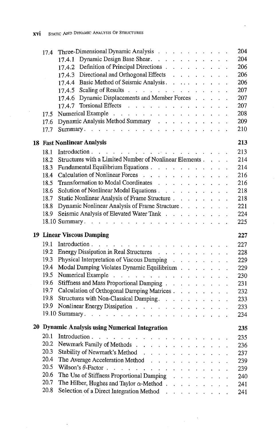$\overline{a}$ 

| 17.4                               | Three-Dimensional Dynamic Analysis                                                                                                                                                                                             |                                              |                                                  |                          |  | 204 |
|------------------------------------|--------------------------------------------------------------------------------------------------------------------------------------------------------------------------------------------------------------------------------|----------------------------------------------|--------------------------------------------------|--------------------------|--|-----|
|                                    | 17.4.1 Dynamic Design Base Shear.                                                                                                                                                                                              |                                              |                                                  |                          |  | 204 |
|                                    | 17.4.2 Definition of Principal Directions                                                                                                                                                                                      |                                              |                                                  |                          |  | 206 |
|                                    | 17.4.3 Directional and Orthogonal Effects                                                                                                                                                                                      |                                              |                                                  |                          |  | 206 |
|                                    | 17.4.4 Basic Method of Seismic Analysis.                                                                                                                                                                                       |                                              |                                                  |                          |  | 206 |
|                                    | 17.4.5 Scaling of Results $\ldots$ $\ldots$ $\ldots$ $\ldots$ $\ldots$ $\ldots$                                                                                                                                                |                                              |                                                  |                          |  | 207 |
|                                    | 17.4.6 Dynamic Displacements and Member Forces                                                                                                                                                                                 |                                              |                                                  |                          |  | 207 |
|                                    | 17.4.7 Torsional Effects $\cdots$ $\cdots$ $\cdots$ $\cdots$ $\cdots$                                                                                                                                                          |                                              |                                                  |                          |  | 207 |
| 17.5                               | Numerical Example                                                                                                                                                                                                              |                                              |                                                  |                          |  | 208 |
| 17.6                               | Dynamic Analysis Method Summary                                                                                                                                                                                                |                                              |                                                  |                          |  | 209 |
| 17.7                               |                                                                                                                                                                                                                                |                                              |                                                  |                          |  | 210 |
| <b>18 Fast Nonlinear Analysis</b>  |                                                                                                                                                                                                                                |                                              |                                                  |                          |  | 213 |
| 18.1                               | Introduction.                                                                                                                                                                                                                  |                                              |                                                  |                          |  | 213 |
| 18.2                               | Structures with a Limited Number of Nonlinear Elements                                                                                                                                                                         |                                              |                                                  |                          |  | 214 |
| 18.3                               | Fundamental Equilibrium Equations                                                                                                                                                                                              |                                              |                                                  |                          |  | 214 |
| 18.4                               | Calculation of Nonlinear Forces                                                                                                                                                                                                |                                              |                                                  |                          |  | 216 |
| 18.5                               | Transformation to Modal Coordinates                                                                                                                                                                                            |                                              |                                                  |                          |  | 216 |
| 18.6                               | Solution of Nonlinear Modal Equations                                                                                                                                                                                          |                                              |                                                  |                          |  | 218 |
| 18.7                               | Static Nonlinear Analysis of Frame Structure                                                                                                                                                                                   |                                              |                                                  |                          |  | 218 |
| 18.8                               | Dynamic Nonlinear Analysis of Frame Structure                                                                                                                                                                                  |                                              |                                                  |                          |  | 221 |
| 18.9                               | Seismic Analysis of Elevated Water Tank                                                                                                                                                                                        |                                              |                                                  |                          |  | 224 |
|                                    |                                                                                                                                                                                                                                |                                              |                                                  |                          |  | 225 |
| <b>19 Linear Viscous Damping</b>   |                                                                                                                                                                                                                                |                                              |                                                  |                          |  | 227 |
| 19.1                               |                                                                                                                                                                                                                                |                                              |                                                  |                          |  | 227 |
|                                    | 19.2 Energy Dissipation in Real Structures                                                                                                                                                                                     |                                              |                                                  |                          |  | 228 |
| 19.3                               | Physical Interpretation of Viscous Damping                                                                                                                                                                                     |                                              |                                                  |                          |  | 229 |
| 19.4                               | Modal Damping Violates Dynamic Equilibrium                                                                                                                                                                                     |                                              |                                                  |                          |  | 229 |
| 19.5                               | Numerical Example (Contact of Contact of Contact of Contact of Contact of Contact of Contact of Contact of Contact of Contact of Contact of Contact of Contact of Contact of Contact of Contact of Contact of Contact of Conta |                                              |                                                  |                          |  | 230 |
| 19.6                               | Stiffness and Mass Proportional Damping                                                                                                                                                                                        |                                              |                                                  |                          |  | 231 |
| 19.7                               | Calculation of Orthogonal Damping Matrices                                                                                                                                                                                     |                                              |                                                  |                          |  | 232 |
| 19.8                               | Structures with Non-Classical Damping.                                                                                                                                                                                         |                                              |                                                  |                          |  | 233 |
| 19.9                               | Nonlinear Energy Dissipation                                                                                                                                                                                                   |                                              |                                                  |                          |  | 233 |
|                                    |                                                                                                                                                                                                                                |                                              |                                                  |                          |  | 234 |
|                                    | 20 Dynamic Analysis using Numerical Integration                                                                                                                                                                                |                                              |                                                  |                          |  | 235 |
|                                    | 20.1 Introduction.                                                                                                                                                                                                             |                                              |                                                  |                          |  | 235 |
| 20.2                               | Newmark Family of Methods.<br>$\mathbf{r} = \mathbf{r} \times \mathbf{r}$ . The $\mathbf{r}$                                                                                                                                   |                                              |                                                  |                          |  | 236 |
| 20.3                               | Stability of Newmark's Method<br>$\ddot{\phantom{a}}$                                                                                                                                                                          | $\ddot{\phantom{a}}$                         |                                                  |                          |  | 237 |
| 20.4                               | The Average Acceleration Method                                                                                                                                                                                                | $\ddot{\phantom{a}}$<br>$\ddot{\phantom{0}}$ | $\mathcal{L}^{\text{max}}$                       |                          |  | 239 |
| 20.5<br>Wilson's $\theta$ -Factor. |                                                                                                                                                                                                                                | <b>Contract Contract</b><br>$\mathbf{L}$     |                                                  |                          |  | 239 |
| 20.6                               | The Use of Stiffness Proportional Damping                                                                                                                                                                                      |                                              | $\mathbf{r}$                                     | <b>Contract Contract</b> |  | 240 |
| 20.7                               | The Hilber, Hughes and Taylor $\alpha$ -Method.                                                                                                                                                                                | $\mathbf{r}$                                 | $\mathbf{r}$ and $\mathbf{r}$ and $\mathbf{r}$   |                          |  | 241 |
| 20.8                               | Selection of a Direct Integration Method                                                                                                                                                                                       |                                              | <b><i>Charles Committee Committee States</i></b> |                          |  | 241 |
|                                    |                                                                                                                                                                                                                                |                                              |                                                  |                          |  |     |

 $\bar{z}$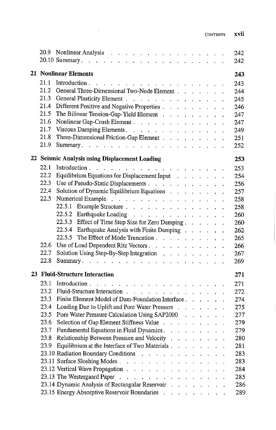$\begin{array}{c} \begin{array}{c} 1 \\ 1 \end{array} \end{array}$ 

|      | 20.9 Nonlinear Analysis $\ldots$ $\ldots$ $\ldots$ $\ldots$ $\ldots$ $\ldots$ $\ldots$<br>242                                                     |
|------|---------------------------------------------------------------------------------------------------------------------------------------------------|
|      | 242                                                                                                                                               |
|      | <b>21 Nonlinear Elements</b><br>243                                                                                                               |
| 21.1 | 243                                                                                                                                               |
| 21.2 | General Three-Dimensional Two-Node Element<br>244                                                                                                 |
| 21.3 | General Plasticity Element<br>245                                                                                                                 |
| 21.4 | Different Positive and Negative Properties<br>246                                                                                                 |
| 21.5 | The Bilinear Tension-Gap-Yield Element<br>247                                                                                                     |
| 21.6 | Nonlinear Gap-Crush Element.<br>247                                                                                                               |
| 21.7 | Viscous Damping Elements.<br>249                                                                                                                  |
| 21.8 | Three-Dimensional Friction-Gap Element<br>251                                                                                                     |
| 21.9 | 252                                                                                                                                               |
|      | 22 Seismic Analysis using Displacement Loading<br>253                                                                                             |
| 22.1 | 253                                                                                                                                               |
| 22.2 | Equilibrium Equations for Displacement Input results and results of the set of the Equilibrium Equations for Displacement Input<br>254            |
| 22.3 | Use of Pseudo-Static Displacements<br>256                                                                                                         |
| 22.4 | Solution of Dynamic Equilibrium Equations<br>257                                                                                                  |
| 22.5 | 258                                                                                                                                               |
|      | 258                                                                                                                                               |
|      | 22.5.2 Earthquake Loading $\ldots$ $\ldots$ $\ldots$ $\ldots$ $\ldots$ $\ldots$<br>260                                                            |
|      | 22.5.3 Effect of Time Step Size for Zero Damping<br>260                                                                                           |
|      | 22.5.4 Earthquake Analysis with Finite Damping<br>262                                                                                             |
|      | 22.5.5 The Effect of Mode Truncation $\ldots$ $\ldots$ $\ldots$ $\ldots$<br>265                                                                   |
|      | 22.6 Use of Load Dependent Ritz Vectors.<br>266                                                                                                   |
| 22.7 | Solution Using Step-By-Step Integration<br>267                                                                                                    |
| 22.8 | 269                                                                                                                                               |
|      | 23 Fluid-Structure Interaction<br>271                                                                                                             |
|      |                                                                                                                                                   |
| 23.1 | 271                                                                                                                                               |
| 23.2 | Fluid-Structure Interaction<br>272                                                                                                                |
| 23.3 | Finite Element Model of Dam-Foundation Interface<br>274                                                                                           |
| 23.4 | Loading Due to Uplift and Pore Water Pressure<br>275                                                                                              |
| 23.5 | Pore Water Pressure Calculation Using SAP2000<br>277                                                                                              |
| 23.6 | Selection of Gap Element Stiffness Value<br>279                                                                                                   |
| 23.7 | Fundamental Equations in Fluid Dynamics.<br>279                                                                                                   |
|      | 23.8 Relationship Between Pressure and Velocity<br>280                                                                                            |
| 23.9 | Equilibrium at the Interface of Two Materials.<br>281                                                                                             |
|      | 23.10 Radiation Boundary Conditions<br>283<br>and the contract of the                                                                             |
|      | 23.11 Surface Sloshing Modes<br>283                                                                                                               |
|      | 23.12 Vertical Wave Propagation<br>284                                                                                                            |
|      | 23.13 The Westergaard Paper<br>$\mathbf{r}$ , and $\mathbf{r}$ , and $\mathbf{r}$ , and $\mathbf{r}$ , and $\mathbf{r}$ , and $\mathbf{r}$<br>285 |
|      | 23.14 Dynamic Analysis of Rectangular Reservoir<br>286                                                                                            |
|      | 23.15 Energy Absorptive Reservoir Boundaries<br>289                                                                                               |

 $\sim 10^{-11}$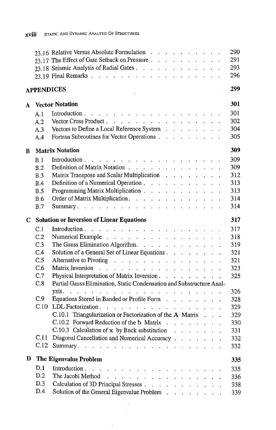|   |            | 23.16 Relative Versus Absolute Formulation                                                          | 290 |
|---|------------|-----------------------------------------------------------------------------------------------------|-----|
|   |            | 23.17 The Effect of Gate Setback on Pressure                                                        | 291 |
|   |            | 23.18 Seismic Analysis of Radial Gates                                                              | 293 |
|   |            |                                                                                                     | 296 |
|   |            | <b>APPENDICES</b>                                                                                   | 299 |
| A |            | <b>Vector Notation</b>                                                                              | 301 |
|   | A.1        |                                                                                                     | 301 |
|   | A.2        | Vector Cross Product.                                                                               | 302 |
|   | A.3        | Vectors to Define a Local Reference System                                                          | 304 |
|   | A.4        | Fortran Subroutines for Vector Operations                                                           | 305 |
| В |            | <b>Matrix Notation</b>                                                                              | 309 |
|   | B.1        |                                                                                                     | 309 |
|   | B.2        | Definition of Matrix Notation                                                                       | 309 |
|   | B.3        | Matrix Transpose and Scalar Multiplication                                                          | 312 |
|   | B.4        | Definition of a Numerical Operation                                                                 | 313 |
|   | B.5        | Programming Matrix Multiplication                                                                   | 313 |
|   | <b>B.6</b> | Order of Matrix Multiplication.                                                                     | 314 |
|   | B.7        |                                                                                                     | 314 |
| C |            | <b>Solution or Inversion of Linear Equations</b>                                                    | 317 |
|   | C.1        |                                                                                                     | 317 |
|   | C.2        | Numerical Example                                                                                   | 318 |
|   | C.3        | The Gauss Elimination Algorithm.                                                                    | 319 |
|   | C.4        | Solution of a General Set of Linear Equations                                                       | 321 |
|   | C.5        | Alternative to Pivoting response to the contract of the Pivoting response to the contract of the Pi | 321 |
|   | C.6        | Matrix Inversion                                                                                    | 323 |
|   | C.7        | Physical Interpretation of Matrix Inversion.                                                        | 325 |
|   | C.8        | Partial Gauss Elimination, Static Condensation and Substructure Anal-                               |     |
|   |            |                                                                                                     | 326 |
|   | C.9        | Equations Stored in Banded or Profile Form                                                          | 328 |
|   | C.10       | LDL Factorization                                                                                   | 329 |
|   |            | C.10.1 Triangularization or Factorization of the A Matrix                                           | 329 |
|   |            | C.10.2 Forward Reduction of the b Matrix                                                            | 330 |
|   |            | C.10.3 Calculation of x by Back substitution                                                        | 331 |
|   |            | C.11 Diagonal Cancellation and Numerical Accuracy.                                                  | 332 |
|   |            | C.12 Summary.                                                                                       | 332 |
| D |            | The Eigenvalue Problem                                                                              | 335 |
|   | D.1        | Introduction.<br>$\mathcal{A}$ . The contribution of the contribution of $\mathcal{A}$              | 335 |
|   | D.2        | The Jacobi Method<br>a construction of the construction                                             | 336 |
|   | D.3        | Calculation of 3D Principal Stresses                                                                | 338 |
|   | D.4        | Solution of the General Eigenvalue Problem                                                          | 339 |
|   |            |                                                                                                     |     |

 $\bar{z}$ 

 $\bar{z}$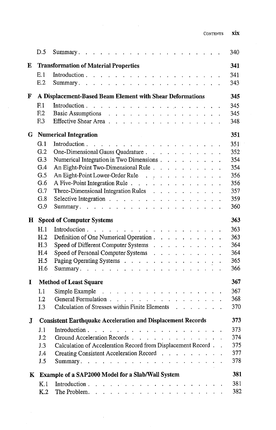| Contents | XIX |
|----------|-----|

|   | D.5              |                                                                                                | 340 |
|---|------------------|------------------------------------------------------------------------------------------------|-----|
| E |                  | <b>Transformation of Material Properties</b>                                                   | 341 |
|   | E.1              |                                                                                                | 341 |
|   | E.2              |                                                                                                | 343 |
| F |                  | A Displacement-Based Beam Element with Shear Deformations                                      | 345 |
|   | F <sub>1</sub>   |                                                                                                | 345 |
|   | F <sub>12</sub>  | Basic Assumptions                                                                              | 345 |
|   | F <sub>.3</sub>  | Effective Shear Area                                                                           | 348 |
| G |                  | <b>Numerical Integration</b>                                                                   | 351 |
|   | G.1              |                                                                                                | 351 |
|   | G.2              | One-Dimensional Gauss Quadrature                                                               | 352 |
|   | G.3              | Numerical Integration in Two Dimensions                                                        | 354 |
|   | G.4              | An Eight-Point Two-Dimensional Rule                                                            | 354 |
|   | G.5              | An Eight-Point Lower-Order Rule                                                                | 356 |
|   | G.6              | A Five-Point Integration Rule                                                                  | 356 |
|   | G.7              | Three-Dimensional Integration Rules $\cdots$ $\cdots$ $\cdots$ $\cdots$                        | 357 |
|   | G.8              | Selective Integration $\cdots$ $\cdots$ $\cdots$ $\cdots$ $\cdots$ $\cdots$ $\cdots$           | 359 |
|   | G.9              |                                                                                                | 360 |
| н |                  | <b>Speed of Computer Systems</b>                                                               | 363 |
|   | H.1              | Introduction.<br>والتواصل والوالوا والوالو الوالو والمتاوي والمتاوي والمتاوي والمتاوي والمتاوي | 363 |
|   | H <sub>.2</sub>  | Definition of One Numerical Operation                                                          | 363 |
|   | H.3              | Speed of Different Computer Systems                                                            | 364 |
|   | H.4              | Speed of Personal Computer Systems                                                             | 364 |
|   | H.5              | Paging Operating Systems                                                                       | 365 |
|   | H.6              |                                                                                                | 366 |
| 1 |                  | <b>Method of Least Square</b>                                                                  | 367 |
|   | I.1              | Simple Example                                                                                 | 367 |
|   | I <sub>1</sub> 2 | General Formulation                                                                            | 368 |
|   | I.3              | Calculation of Stresses within Finite Elements                                                 | 370 |
| J |                  | <b>Consistent Earthquake Acceleration and Displacement Records</b>                             | 373 |
|   | J.1              |                                                                                                | 373 |
|   | J.2              | Ground Acceleration Records                                                                    | 374 |
|   | J.3              | Calculation of Acceleration Record from Displacement Record                                    | 375 |
|   | J.4              | Creating Consistent Acceleration Record                                                        | 377 |
|   | J.5              |                                                                                                | 378 |
|   |                  |                                                                                                |     |
|   |                  | K Example of a SAP2000 Model for a Slab/Wall System                                            | 381 |
|   | K.1              |                                                                                                | 381 |
|   | K.2              | The Problem. $\ldots$ $\ldots$ $\ldots$ $\ldots$ $\ldots$ $\ldots$ $\ldots$ $\ldots$ $\ldots$  | 382 |